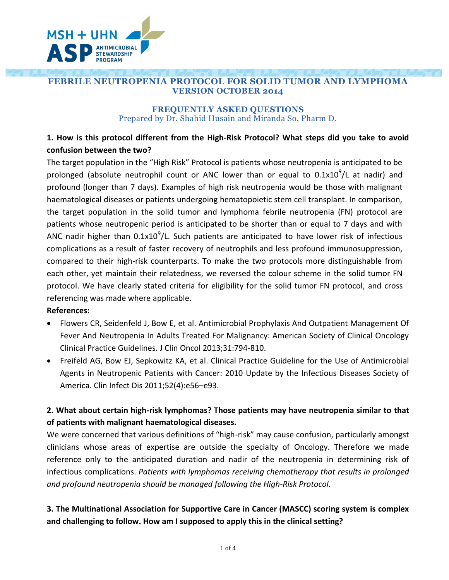

### **FEBRILE NEUTROPENIA PROTOCOL FOR SOLID TUMOR AND LYMPHOMA VERSION OCTOBER 2014**

#### **FREQUENTLY ASKED QUESTIONS** Prepared by Dr. Shahid Husain and Miranda So, Pharm D.

### **1. How is this protocol different from the High-Risk Protocol? What steps did you take to avoid confusion between the two?**

The target population in the "High Risk" Protocol is patients whose neutropenia is anticipated to be prolonged (absolute neutrophil count or ANC lower than or equal to  $0.1x10^9$ /L at nadir) and profound (longer than 7 days). Examples of high risk neutropenia would be those with malignant haematological diseases or patients undergoing hematopoietic stem cell transplant. In comparison, the target population in the solid tumor and lymphoma febrile neutropenia (FN) protocol are patients whose neutropenic period is anticipated to be shorter than or equal to 7 days and with ANC nadir higher than  $0.1x10<sup>9</sup>/L$ . Such patients are anticipated to have lower risk of infectious complications as a result of faster recovery of neutrophils and less profound immunosuppression, compared to their high-risk counterparts. To make the two protocols more distinguishable from each other, yet maintain their relatedness, we reversed the colour scheme in the solid tumor FN protocol. We have clearly stated criteria for eligibility for the solid tumor FN protocol, and cross referencing was made where applicable.

#### **References:**

- Flowers CR, Seidenfeld J, Bow E, et al. Antimicrobial Prophylaxis And Outpatient Management Of Fever And Neutropenia In Adults Treated For Malignancy: American Society of Clinical Oncology Clinical Practice Guidelines. J Clin Oncol 2013;31:794-810.
- Freifeld AG, Bow EJ, Sepkowitz KA, et al. Clinical Practice Guideline for the Use of Antimicrobial Agents in Neutropenic Patients with Cancer: 2010 Update by the Infectious Diseases Society of America. Clin Infect Dis 2011;52(4):e56–e93.

### **2. What about certain high-risk lymphomas? Those patients may have neutropenia similar to that of patients with malignant haematological diseases.**

We were concerned that various definitions of "high-risk" may cause confusion, particularly amongst clinicians whose areas of expertise are outside the specialty of Oncology. Therefore we made reference only to the anticipated duration and nadir of the neutropenia in determining risk of infectious complications. *Patients with lymphomas receiving chemotherapy that results in prolonged and profound neutropenia should be managed following the High-Risk Protocol.* 

## **3. The Multinational Association for Supportive Care in Cancer (MASCC) scoring system is complex and challenging to follow. How am I supposed to apply this in the clinical setting?**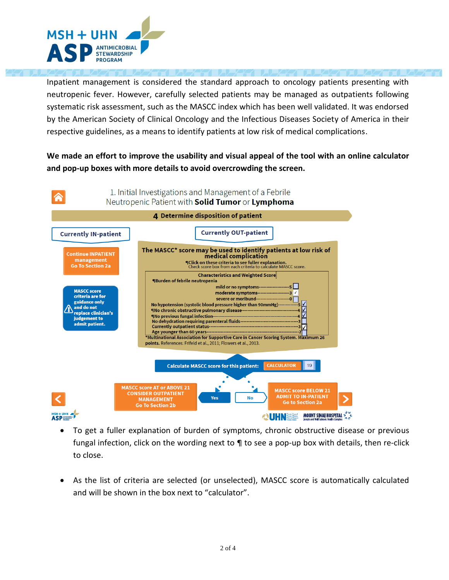

Inpatient management is considered the standard approach to oncology patients presenting with neutropenic fever. However, carefully selected patients may be managed as outpatients following systematic risk assessment, such as the MASCC index which has been well validated. It was endorsed by the American Society of Clinical Oncology and the Infectious Diseases Society of America in their respective guidelines, as a means to identify patients at low risk of medical complications.

**We made an effort to improve the usability and visual appeal of the tool with an online calculator and pop-up boxes with more details to avoid overcrowding the screen.**



- To get a fuller explanation of burden of symptoms, chronic obstructive disease or previous fungal infection, click on the wording next to ¶ to see a pop-up box with details, then re-click to close.
- As the list of criteria are selected (or unselected), MASCC score is automatically calculated and will be shown in the box next to "calculator".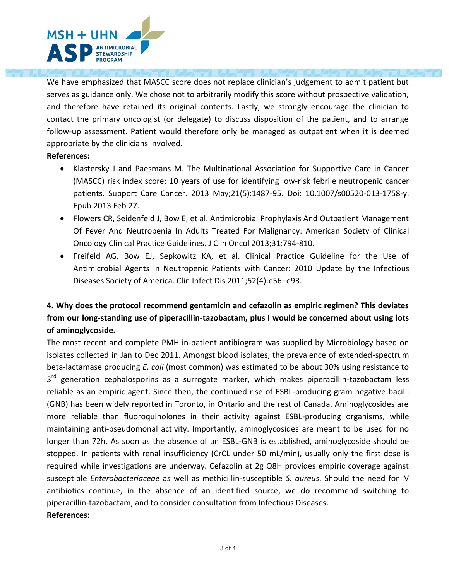

We have emphasized that MASCC score does not replace clinician's judgement to admit patient but serves as guidance only. We chose not to arbitrarily modify this score without prospective validation, and therefore have retained its original contents. Lastly, we strongly encourage the clinician to contact the primary oncologist (or delegate) to discuss disposition of the patient, and to arrange follow-up assessment. Patient would therefore only be managed as outpatient when it is deemed appropriate by the clinicians involved.

#### **References:**

- Klastersky J and Paesmans M. The Multinational Association for Supportive Care in Cancer (MASCC) risk index score: 10 years of use for identifying low-risk febrile neutropenic cancer patients. Support Care Cancer. 2013 May;21(5):1487-95. Doi: 10.1007/s00520-013-1758-y. Epub 2013 Feb 27.
- Flowers CR, Seidenfeld J, Bow E, et al. Antimicrobial Prophylaxis And Outpatient Management Of Fever And Neutropenia In Adults Treated For Malignancy: American Society of Clinical Oncology Clinical Practice Guidelines. J Clin Oncol 2013;31:794-810.
- Freifeld AG, Bow EJ, Sepkowitz KA, et al. Clinical Practice Guideline for the Use of Antimicrobial Agents in Neutropenic Patients with Cancer: 2010 Update by the Infectious Diseases Society of America. Clin Infect Dis 2011;52(4):e56–e93.

# **4. Why does the protocol recommend gentamicin and cefazolin as empiric regimen? This deviates from our long-standing use of piperacillin-tazobactam, plus I would be concerned about using lots of aminoglycoside.**

The most recent and complete PMH in-patient antibiogram was supplied by Microbiology based on isolates collected in Jan to Dec 2011. Amongst blood isolates, the prevalence of extended-spectrum beta-lactamase producing *E. coli* (most common) was estimated to be about 30% using resistance to 3<sup>rd</sup> generation cephalosporins as a surrogate marker, which makes piperacillin-tazobactam less reliable as an empiric agent. Since then, the continued rise of ESBL-producing gram negative bacilli (GNB) has been widely reported in Toronto, in Ontario and the rest of Canada. Aminoglycosides are more reliable than fluoroquinolones in their activity against ESBL-producing organisms, while maintaining anti-pseudomonal activity. Importantly, aminoglycosides are meant to be used for no longer than 72h. As soon as the absence of an ESBL-GNB is established, aminoglycoside should be stopped. In patients with renal insufficiency (CrCL under 50 mL/min), usually only the first dose is required while investigations are underway. Cefazolin at 2g Q8H provides empiric coverage against susceptible *Enterobacteriaceae* as well as methicillin-susceptible *S. aureus*. Should the need for IV antibiotics continue, in the absence of an identified source, we do recommend switching to piperacillin-tazobactam, and to consider consultation from Infectious Diseases. **References:**